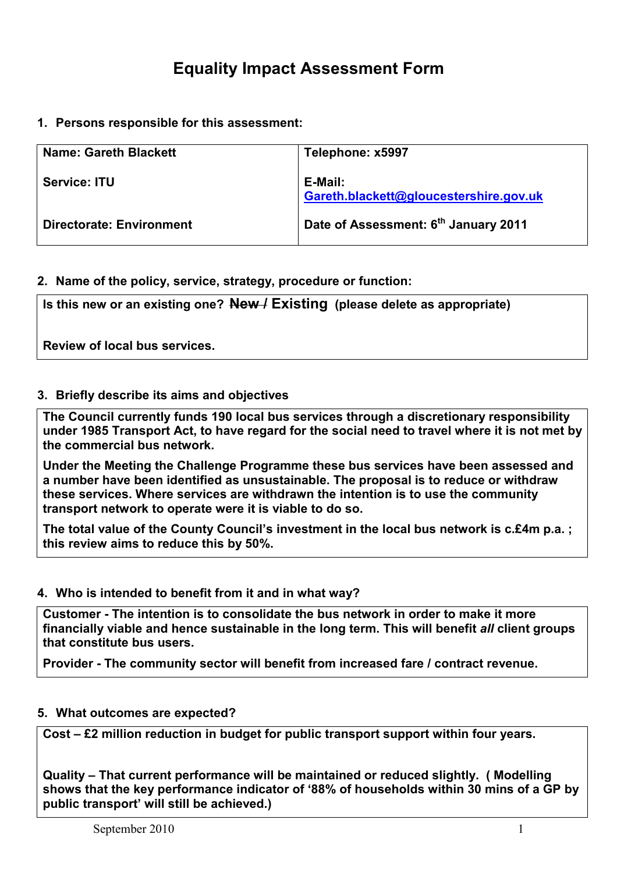1. Persons responsible for this assessment:

| <b>Name: Gareth Blackett</b>    | Telephone: x5997                                  |
|---------------------------------|---------------------------------------------------|
| <b>Service: ITU</b>             | E-Mail:<br>Gareth.blackett@gloucestershire.gov.uk |
| <b>Directorate: Environment</b> | Date of Assessment: 6 <sup>th</sup> January 2011  |

### 2. Name of the policy, service, strategy, procedure or function:

Is this new or an existing one?  $New/$  Existing (please delete as appropriate)

Review of local bus services.

#### 3. Briefly describe its aims and objectives

The Council currently funds 190 local bus services through a discretionary responsibility under 1985 Transport Act, to have regard for the social need to travel where it is not met by the commercial bus network.

Under the Meeting the Challenge Programme these bus services have been assessed and a number have been identified as unsustainable. The proposal is to reduce or withdraw these services. Where services are withdrawn the intention is to use the community transport network to operate were it is viable to do so.

The total value of the County Council's investment in the local bus network is c.£4m p.a. : this review aims to reduce this by 50%.

#### 4. Who is intended to benefit from it and in what way?

Customer - The intention is to consolidate the bus network in order to make it more financially viable and hence sustainable in the long term. This will benefit all client groups that constitute bus users.

Provider - The community sector will benefit from increased fare / contract revenue.

#### 5. What outcomes are expected?

Cost – £2 million reduction in budget for public transport support within four years.

Quality – That current performance will be maintained or reduced slightly. ( Modelling shows that the key performance indicator of '88% of households within 30 mins of a GP by public transport' will still be achieved.)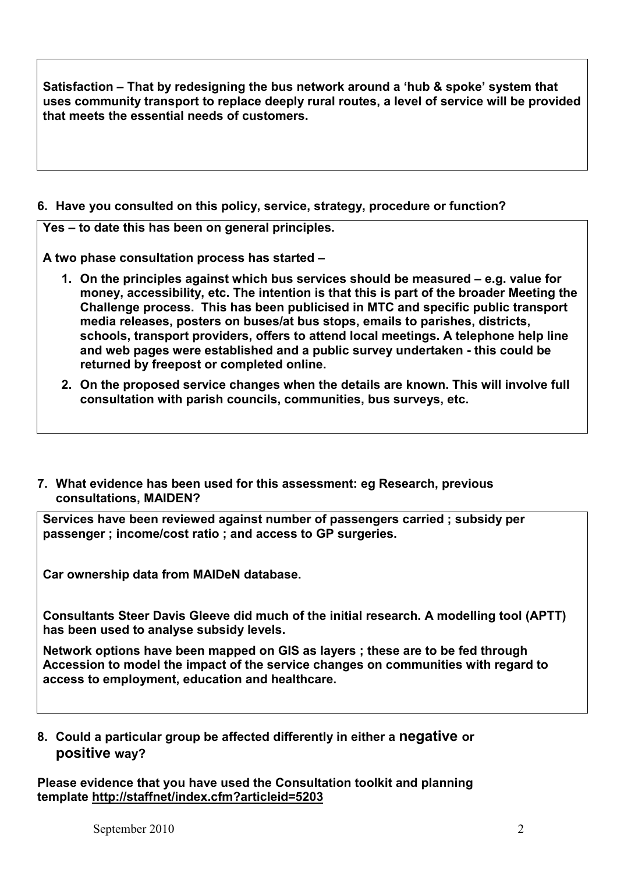Satisfaction – That by redesigning the bus network around a 'hub & spoke' system that uses community transport to replace deeply rural routes, a level of service will be provided that meets the essential needs of customers.

### 6. Have you consulted on this policy, service, strategy, procedure or function?

Yes – to date this has been on general principles.

A two phase consultation process has started –

- 1. On the principles against which bus services should be measured e.g. value for money, accessibility, etc. The intention is that this is part of the broader Meeting the Challenge process. This has been publicised in MTC and specific public transport media releases, posters on buses/at bus stops, emails to parishes, districts, schools, transport providers, offers to attend local meetings. A telephone help line and web pages were established and a public survey undertaken - this could be returned by freepost or completed online.
- 2. On the proposed service changes when the details are known. This will involve full consultation with parish councils, communities, bus surveys, etc.
- 7. What evidence has been used for this assessment: eg Research, previous consultations, MAIDEN?

Services have been reviewed against number of passengers carried ; subsidy per passenger ; income/cost ratio ; and access to GP surgeries.

Car ownership data from MAIDeN database.

Consultants Steer Davis Gleeve did much of the initial research. A modelling tool (APTT) has been used to analyse subsidy levels.

Network options have been mapped on GIS as layers ; these are to be fed through Accession to model the impact of the service changes on communities with regard to access to employment, education and healthcare.

## 8. Could a particular group be affected differently in either a negative or positive way?

Please evidence that you have used the Consultation toolkit and planning template http://staffnet/index.cfm?articleid=5203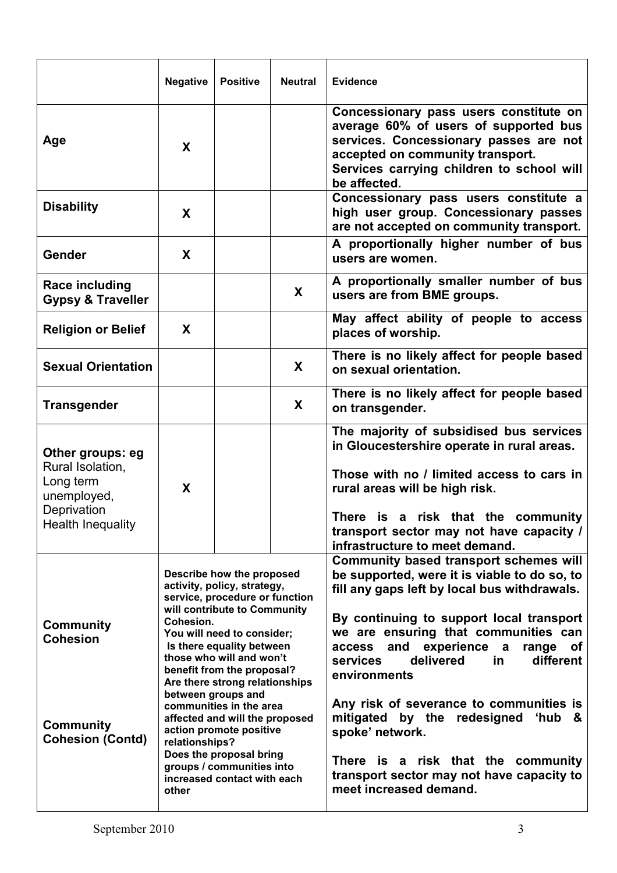|                                                                                                             | <b>Negative</b>                                                                                                                                                                                                                                                                                                                                                                                                                                                                        | <b>Positive</b> | <b>Neutral</b> | <b>Evidence</b>                                                                                                                                                                                                                                                                                                                                                                                                                                                                                                                                                                                 |  |
|-------------------------------------------------------------------------------------------------------------|----------------------------------------------------------------------------------------------------------------------------------------------------------------------------------------------------------------------------------------------------------------------------------------------------------------------------------------------------------------------------------------------------------------------------------------------------------------------------------------|-----------------|----------------|-------------------------------------------------------------------------------------------------------------------------------------------------------------------------------------------------------------------------------------------------------------------------------------------------------------------------------------------------------------------------------------------------------------------------------------------------------------------------------------------------------------------------------------------------------------------------------------------------|--|
| Age                                                                                                         | X                                                                                                                                                                                                                                                                                                                                                                                                                                                                                      |                 |                | Concessionary pass users constitute on<br>average 60% of users of supported bus<br>services. Concessionary passes are not<br>accepted on community transport.<br>Services carrying children to school will<br>be affected.                                                                                                                                                                                                                                                                                                                                                                      |  |
| <b>Disability</b>                                                                                           | X                                                                                                                                                                                                                                                                                                                                                                                                                                                                                      |                 |                | Concessionary pass users constitute a<br>high user group. Concessionary passes<br>are not accepted on community transport.                                                                                                                                                                                                                                                                                                                                                                                                                                                                      |  |
| Gender                                                                                                      | X                                                                                                                                                                                                                                                                                                                                                                                                                                                                                      |                 |                | A proportionally higher number of bus<br>users are women.                                                                                                                                                                                                                                                                                                                                                                                                                                                                                                                                       |  |
| Race including<br><b>Gypsy &amp; Traveller</b>                                                              |                                                                                                                                                                                                                                                                                                                                                                                                                                                                                        |                 | X              | A proportionally smaller number of bus<br>users are from BME groups.                                                                                                                                                                                                                                                                                                                                                                                                                                                                                                                            |  |
| <b>Religion or Belief</b>                                                                                   | X                                                                                                                                                                                                                                                                                                                                                                                                                                                                                      |                 |                | May affect ability of people to access<br>places of worship.                                                                                                                                                                                                                                                                                                                                                                                                                                                                                                                                    |  |
| <b>Sexual Orientation</b>                                                                                   |                                                                                                                                                                                                                                                                                                                                                                                                                                                                                        |                 | X              | There is no likely affect for people based<br>on sexual orientation.                                                                                                                                                                                                                                                                                                                                                                                                                                                                                                                            |  |
| <b>Transgender</b>                                                                                          |                                                                                                                                                                                                                                                                                                                                                                                                                                                                                        |                 | X              | There is no likely affect for people based<br>on transgender.                                                                                                                                                                                                                                                                                                                                                                                                                                                                                                                                   |  |
| Other groups: eg<br>Rural Isolation,<br>Long term<br>unemployed,<br>Deprivation<br><b>Health Inequality</b> | X                                                                                                                                                                                                                                                                                                                                                                                                                                                                                      |                 |                | The majority of subsidised bus services<br>in Gloucestershire operate in rural areas.<br>Those with no / limited access to cars in<br>rural areas will be high risk.<br>There is a risk that the community<br>transport sector may not have capacity /                                                                                                                                                                                                                                                                                                                                          |  |
| <b>Community</b><br><b>Cohesion</b><br><b>Community</b><br><b>Cohesion (Contd)</b>                          | Describe how the proposed<br>activity, policy, strategy,<br>service, procedure or function<br>will contribute to Community<br>Cohesion.<br>You will need to consider;<br>Is there equality between<br>those who will and won't<br>benefit from the proposal?<br>Are there strong relationships<br>between groups and<br>communities in the area<br>affected and will the proposed<br>action promote positive<br>relationships?<br>Does the proposal bring<br>groups / communities into |                 |                | infrastructure to meet demand.<br><b>Community based transport schemes will</b><br>be supported, were it is viable to do so, to<br>fill any gaps left by local bus withdrawals.<br>By continuing to support local transport<br>we are ensuring that communities can<br>and<br>experience a<br>range<br>access<br><b>of</b><br>delivered<br>in.<br>different<br>services<br>environments<br>Any risk of severance to communities is<br>mitigated by the redesigned<br>ʻhub<br><u>&amp;</u><br>spoke' network.<br>There is a risk that the community<br>transport sector may not have capacity to |  |
|                                                                                                             | increased contact with each<br>other                                                                                                                                                                                                                                                                                                                                                                                                                                                   |                 |                | meet increased demand.                                                                                                                                                                                                                                                                                                                                                                                                                                                                                                                                                                          |  |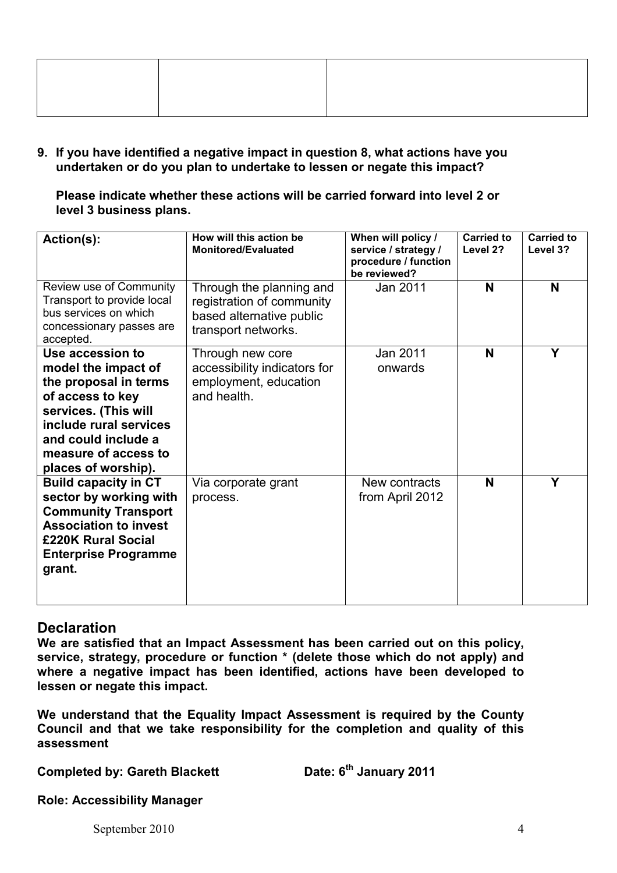9. If you have identified a negative impact in question 8, what actions have you undertaken or do you plan to undertake to lessen or negate this impact?

Please indicate whether these actions will be carried forward into level 2 or level 3 business plans.

| Action(s):                                                                                                                                                                                                   | How will this action be<br><b>Monitored/Evaluated</b>                                                    | When will policy /<br>service / strategy /<br>procedure / function<br>be reviewed? | <b>Carried to</b><br>Level 2? | <b>Carried to</b><br>Level 3? |
|--------------------------------------------------------------------------------------------------------------------------------------------------------------------------------------------------------------|----------------------------------------------------------------------------------------------------------|------------------------------------------------------------------------------------|-------------------------------|-------------------------------|
| Review use of Community<br>Transport to provide local<br>bus services on which<br>concessionary passes are<br>accepted.                                                                                      | Through the planning and<br>registration of community<br>based alternative public<br>transport networks. | Jan 2011                                                                           | N                             | N                             |
| Use accession to<br>model the impact of<br>the proposal in terms<br>of access to key<br>services. (This will<br>include rural services<br>and could include a<br>measure of access to<br>places of worship). | Through new core<br>accessibility indicators for<br>employment, education<br>and health.                 | Jan 2011<br>onwards                                                                | N                             | Y                             |
| <b>Build capacity in CT</b><br>sector by working with<br><b>Community Transport</b><br><b>Association to invest</b><br>£220K Rural Social<br><b>Enterprise Programme</b><br>grant.                           | Via corporate grant<br>process.                                                                          | New contracts<br>from April 2012                                                   | N                             | Υ                             |

## **Declaration**

We are satisfied that an Impact Assessment has been carried out on this policy, service, strategy, procedure or function \* (delete those which do not apply) and where a negative impact has been identified, actions have been developed to lessen or negate this impact.

We understand that the Equality Impact Assessment is required by the County Council and that we take responsibility for the completion and quality of this assessment

Completed by: Gareth Blackett

Date: 6<sup>th</sup> January 2011

Role: Accessibility Manager

September 2010 4